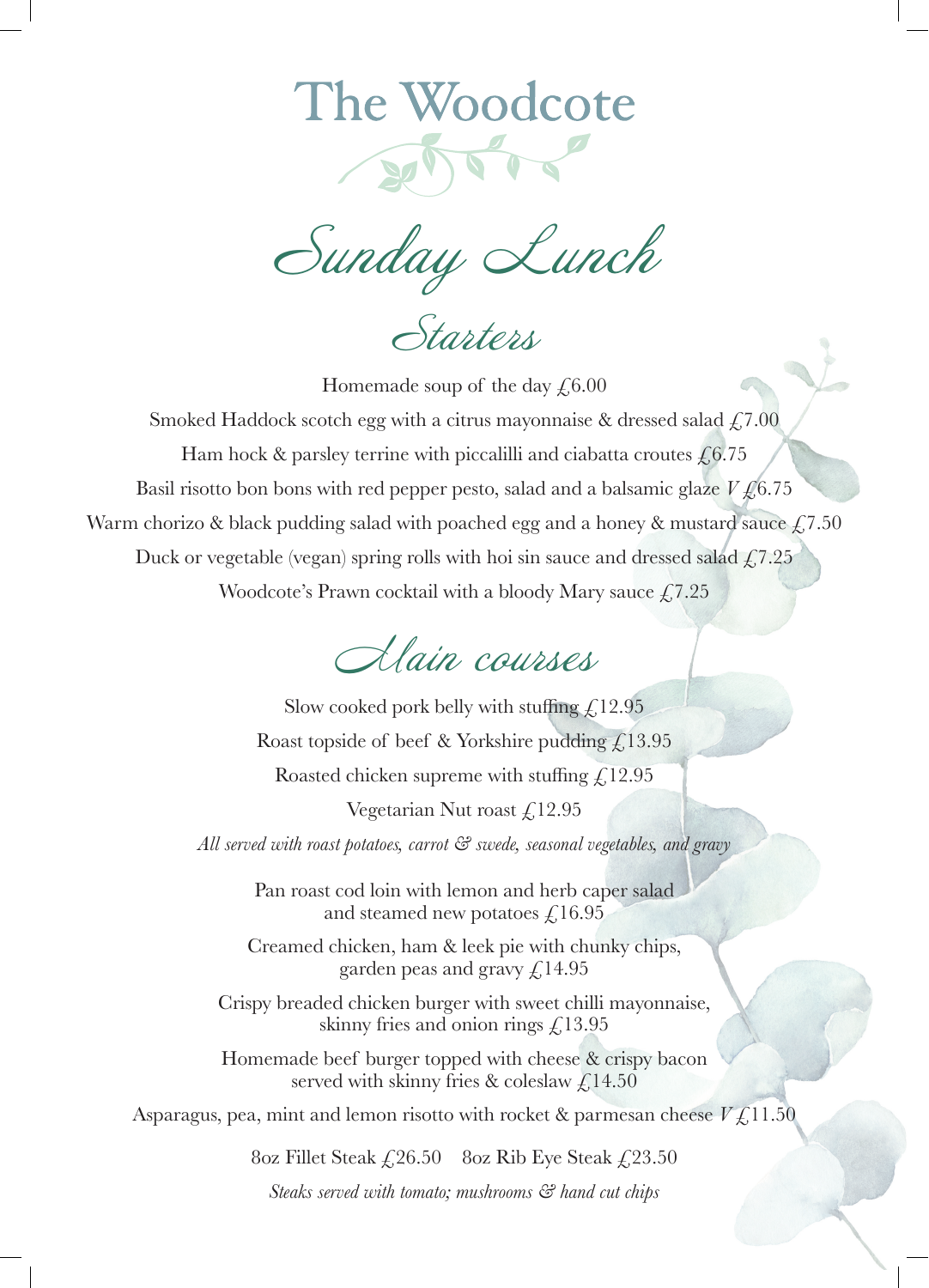## The Woodcote

Sunday Lunch

Starters

Homemade soup of the day  $\text{\textsterling}6.00$ Smoked Haddock scotch egg with a citrus mayonnaise & dressed salad  $\sqrt{f}$ , 7.00 Ham hock & parsley terrine with piccalilli and ciabatta croutes  $\text{\textsterling}6.75$ Basil risotto bon bons with red pepper pesto, salad and a balsamic glaze  $V f_0 6.75$ Warm chorizo & black pudding salad with poached egg and a honey & mustard sauce  $\sqrt{2}$ , 7.50 Duck or vegetable (vegan) spring rolls with hoi sin sauce and dressed salad  $\sqrt{2}$ , 7.25 Woodcote's Prawn cocktail with a bloody Mary sauce  $\text{\textsterling}7.25$ 



Slow cooked pork belly with stuffing  $\text{\textsterling},12.95$ Roast topside of beef & Yorkshire pudding  $\hat{f}$  13.95 Roasted chicken supreme with stuffing  $\text{\textsterling},12.95$ Vegetarian Nut roast  $\text{\textsterling}12.95$ *All served with roast potatoes, carrot & swede, seasonal vegetables, and gravy*  Pan roast cod loin with lemon and herb caper salad and steamed new potatoes  $\mathcal{L}$ 16.95 Creamed chicken, ham & leek pie with chunky chips, garden peas and gravy  $\mathcal{L}$ 14.95 Crispy breaded chicken burger with sweet chilli mayonnaise, skinny fries and onion rings  $\zeta$ 13.95 Homemade beef burger topped with cheese & crispy bacon served with skinny fries & coleslaw  $\sqrt{2}$ , 14.50

Asparagus, pea, mint and lemon risotto with rocket & parmesan cheese  $V f$ , 11.50

8oz Fillet Steak  $\angle 26.50$  8oz Rib Eye Steak  $\angle 23.50$ 

*Steaks served with tomato; mushrooms & hand cut chips*